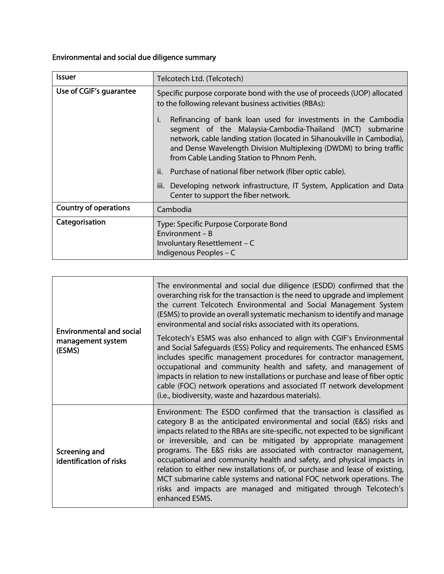## Environmental and social due diligence summary

| <b>Issuer</b>                | Telcotech Ltd. (Telcotech)                                                                                                                                                                                                                                                                                                    |
|------------------------------|-------------------------------------------------------------------------------------------------------------------------------------------------------------------------------------------------------------------------------------------------------------------------------------------------------------------------------|
| Use of CGIF's guarantee      | Specific purpose corporate bond with the use of proceeds (UOP) allocated<br>to the following relevant business activities (RBAs):                                                                                                                                                                                             |
|                              | i.<br>Refinancing of bank loan used for investments in the Cambodia<br>segment of the Malaysia-Cambodia-Thailand (MCT) submarine<br>network, cable landing station (located in Sihanoukville in Cambodia),<br>and Dense Wavelength Division Multiplexing (DWDM) to bring traffic<br>from Cable Landing Station to Phnom Penh. |
|                              | Purchase of national fiber network (fiber optic cable).<br>ii.                                                                                                                                                                                                                                                                |
|                              | Developing network infrastructure, IT System, Application and Data<br>iii.<br>Center to support the fiber network.                                                                                                                                                                                                            |
| <b>Country of operations</b> | Cambodia                                                                                                                                                                                                                                                                                                                      |
| Categorisation               | Type: Specific Purpose Corporate Bond<br>Environment – $B$<br>Involuntary Resettlement - C<br>Indigenous Peoples - C                                                                                                                                                                                                          |

| <b>Environmental and social</b><br>management system<br>(ESMS) | The environmental and social due diligence (ESDD) confirmed that the<br>overarching risk for the transaction is the need to upgrade and implement<br>the current Telcotech Environmental and Social Management System<br>(ESMS) to provide an overall systematic mechanism to identify and manage<br>environmental and social risks associated with its operations.<br>Telcotech's ESMS was also enhanced to align with CGIF's Environmental<br>and Social Safeguards (ESS) Policy and requirements. The enhanced ESMS<br>includes specific management procedures for contractor management,<br>occupational and community health and safety, and management of<br>impacts in relation to new installations or purchase and lease of fiber optic<br>cable (FOC) network operations and associated IT network development<br>(i.e., biodiversity, waste and hazardous materials). |
|----------------------------------------------------------------|----------------------------------------------------------------------------------------------------------------------------------------------------------------------------------------------------------------------------------------------------------------------------------------------------------------------------------------------------------------------------------------------------------------------------------------------------------------------------------------------------------------------------------------------------------------------------------------------------------------------------------------------------------------------------------------------------------------------------------------------------------------------------------------------------------------------------------------------------------------------------------|
| Screening and<br>identification of risks                       | Environment: The ESDD confirmed that the transaction is classified as<br>category B as the anticipated environmental and social (E&S) risks and<br>impacts related to the RBAs are site-specific, not expected to be significant<br>or irreversible, and can be mitigated by appropriate management<br>programs. The E&S risks are associated with contractor management,<br>occupational and community health and safety, and physical impacts in<br>relation to either new installations of, or purchase and lease of existing,<br>MCT submarine cable systems and national FOC network operations. The<br>risks and impacts are managed and mitigated through Telcotech's<br>enhanced ESMS.                                                                                                                                                                                   |